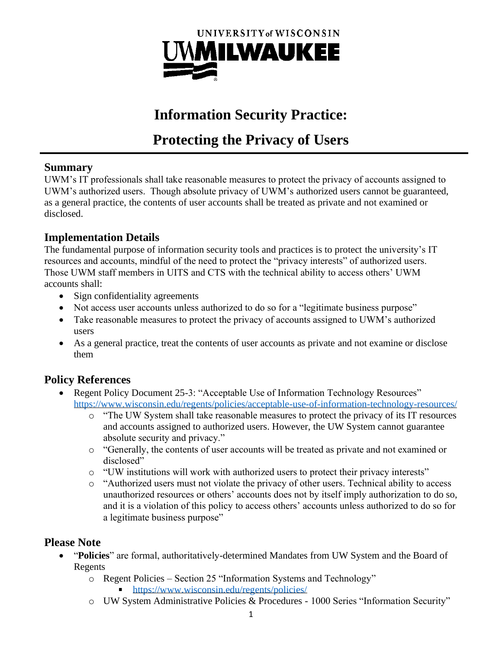

# **Information Security Practice:**

# **Protecting the Privacy of Users**

#### **Summary**

UWM's IT professionals shall take reasonable measures to protect the privacy of accounts assigned to UWM's authorized users. Though absolute privacy of UWM's authorized users cannot be guaranteed, as a general practice, the contents of user accounts shall be treated as private and not examined or disclosed.

### **Implementation Details**

The fundamental purpose of information security tools and practices is to protect the university's IT resources and accounts, mindful of the need to protect the "privacy interests" of authorized users. Those UWM staff members in UITS and CTS with the technical ability to access others' UWM accounts shall:

- Sign confidentiality agreements
- Not access user accounts unless authorized to do so for a "legitimate business purpose"
- Take reasonable measures to protect the privacy of accounts assigned to UWM's authorized users
- As a general practice, treat the contents of user accounts as private and not examine or disclose them

## **Policy References**

- Regent Policy Document 25-3: "Acceptable Use of Information Technology Resources" <https://www.wisconsin.edu/regents/policies/acceptable-use-of-information-technology-resources/>
	- o "The UW System shall take reasonable measures to protect the privacy of its IT resources and accounts assigned to authorized users. However, the UW System cannot guarantee absolute security and privacy."
	- o "Generally, the contents of user accounts will be treated as private and not examined or disclosed"
	- o "UW institutions will work with authorized users to protect their privacy interests"
	- o "Authorized users must not violate the privacy of other users. Technical ability to access unauthorized resources or others' accounts does not by itself imply authorization to do so, and it is a violation of this policy to access others' accounts unless authorized to do so for a legitimate business purpose"

#### **Please Note**

- "**Policies**" are formal, authoritatively-determined Mandates from UW System and the Board of Regents
	- o Regent Policies Section 25 "Information Systems and Technology"
		- <https://www.wisconsin.edu/regents/policies/>
	- o UW System Administrative Policies & Procedures 1000 Series "Information Security"